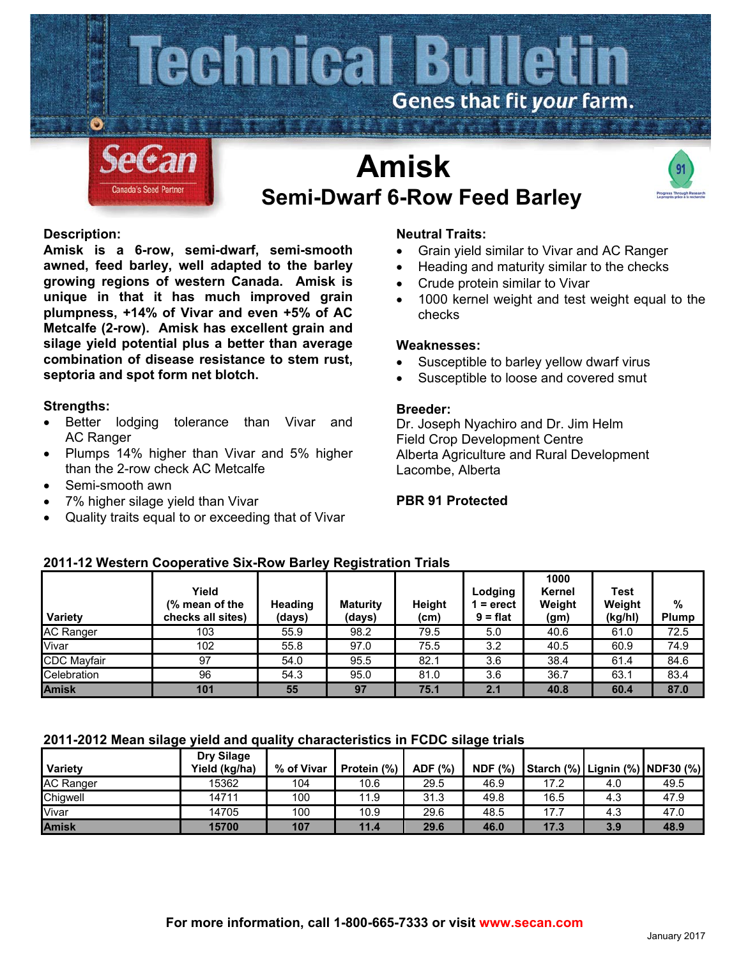

# **Amisk Semi-Dwarf 6-Row Feed Barley**



## **Description:**

**Amisk is a 6-row, semi-dwarf, semi-smooth awned, feed barley, well adapted to the barley growing regions of western Canada. Amisk is unique in that it has much improved grain plumpness, +14% of Vivar and even +5% of AC Metcalfe (2-row). Amisk has excellent grain and silage yield potential plus a better than average combination of disease resistance to stem rust, septoria and spot form net blotch.**

## **Strengths:**

- Better lodging tolerance than Vivar and AC Ranger
- Plumps 14% higher than Vivar and 5% higher than the 2-row check AC Metcalfe
- Semi-smooth awn
- 7% higher silage yield than Vivar
- Quality traits equal to or exceeding that of Vivar

## **Neutral Traits:**

- Grain yield similar to Vivar and AC Ranger
- Heading and maturity similar to the checks
- Crude protein similar to Vivar
- 1000 kernel weight and test weight equal to the checks

### **Weaknesses:**

- Susceptible to barley yellow dwarf virus
- Susceptible to loose and covered smut

#### **Breeder:**

Dr. Joseph Nyachiro and Dr. Jim Helm Field Crop Development Centre Alberta Agriculture and Rural Development Lacombe, Alberta

## **PBR 91 Protected**

# **2011-12 Western Cooperative Six-Row Barley Registration Trials**

| Variety            | Yield<br>(% mean of the<br>checks all sites) | Heading<br>(days) | <b>Maturity</b><br>(days) | <b>Height</b><br>(cm) | Lodging<br>$1 =$ erect<br>$9 = flat$ | 1000<br>Kernel<br>Weight<br>(g <sub>m</sub> ) | Test<br>Weight<br>(kg/hl) | $\frac{0}{0}$<br>Plump |
|--------------------|----------------------------------------------|-------------------|---------------------------|-----------------------|--------------------------------------|-----------------------------------------------|---------------------------|------------------------|
| <b>AC Ranger</b>   | 103                                          | 55.9              | 98.2                      | 79.5                  | 5.0                                  | 40.6                                          | 61.0                      | 72.5                   |
| Vivar              | 102                                          | 55.8              | 97.0                      | 75.5                  | 3.2                                  | 40.5                                          | 60.9                      | 74.9                   |
| <b>CDC</b> Mayfair | 97                                           | 54.0              | 95.5                      | 82.1                  | 3.6                                  | 38.4                                          | 61.4                      | 84.6                   |
| Celebration        | 96                                           | 54.3              | 95.0                      | 81.0                  | 3.6                                  | 36.7                                          | 63.1                      | 83.4                   |
| <b>Amisk</b>       | 101                                          | 55                | 97                        | 75.1                  | 2.1                                  | 40.8                                          | 60.4                      | 87.0                   |

## **2011-2012 Mean silage yield and quality characteristics in FCDC silage trials**

| Variety          | Dry Silage<br>Yield (kg/ha) | % of Vivar | Protein (%) | ADF (%) | <b>NDF</b> (%) |      | Starch (%) Lignin (%) NDF30 (%) |      |
|------------------|-----------------------------|------------|-------------|---------|----------------|------|---------------------------------|------|
| <b>AC Ranger</b> | 15362                       | 104        | 10.6        | 29.5    | 46.9           | 17.2 | 4.0                             | 49.5 |
| Chiawell         | 14711                       | 100        | 11.9        | 31.3    | 49.8           | 16.5 | 4.3                             | 47.9 |
| Vivar            | 14705                       | 100        | 10.9        | 29.6    | 48.5           | 17.7 | 4.3                             | 47.0 |
| <b>Amisk</b>     | 15700                       | 107        | 11.4        | 29.6    | 46.0           | 17.3 | 3.9                             | 48.9 |